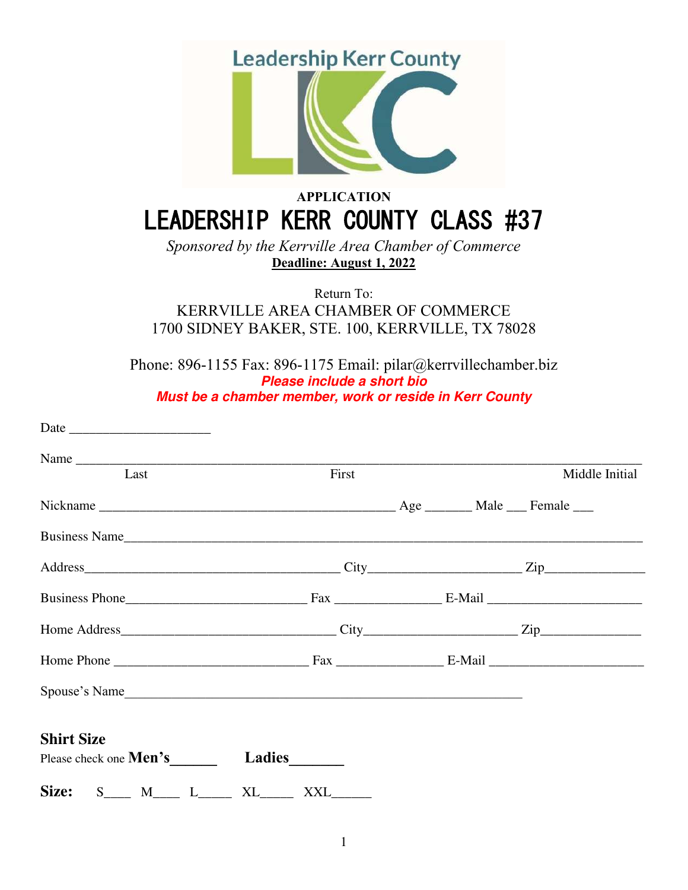

# **APPLICATION** LEADERSHIP KERR COUNTY CLASS #37

*Sponsored by the Kerrville Area Chamber of Commerce*  **Deadline: August 1, 2022**

Return To:

KERRVILLE AREA CHAMBER OF COMMERCE 1700 SIDNEY BAKER, STE. 100, KERRVILLE, TX 78028

Phone: 896-1155 Fax: 896-1175 Email: pilar@kerrvillechamber.biz **Please include a short bio Must be a chamber member, work or reside in Kerr County**

| Last                                                      | First | Middle Initial |
|-----------------------------------------------------------|-------|----------------|
|                                                           |       |                |
| Business Name                                             |       |                |
|                                                           |       |                |
|                                                           |       |                |
|                                                           |       |                |
|                                                           |       |                |
|                                                           |       |                |
| <b>Shirt Size</b><br>Please check one <b>Men's</b> Ladies |       |                |
| Size: $S_{\text{max}}$ M <sub>___</sub> L____ XL____      | XXL   |                |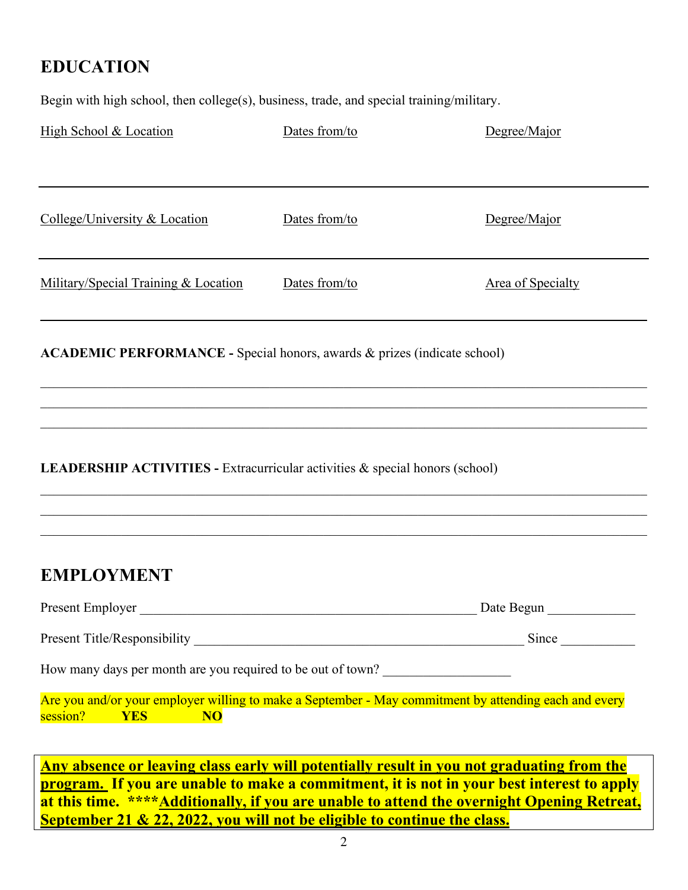# **EDUCATION**

Begin with high school, then college(s), business, trade, and special training/military.

| High School & Location                                                                                                                                                                        | Dates from/to | Degree/Major                                                                                          |  |  |
|-----------------------------------------------------------------------------------------------------------------------------------------------------------------------------------------------|---------------|-------------------------------------------------------------------------------------------------------|--|--|
|                                                                                                                                                                                               |               |                                                                                                       |  |  |
| College/University & Location                                                                                                                                                                 | Dates from/to | Degree/Major                                                                                          |  |  |
| Military/Special Training & Location                                                                                                                                                          | Dates from/to | <b>Area of Specialty</b>                                                                              |  |  |
| ACADEMIC PERFORMANCE - Special honors, awards & prizes (indicate school)                                                                                                                      |               |                                                                                                       |  |  |
| <b>LEADERSHIP ACTIVITIES - Extracurricular activities &amp; special honors (school)</b>                                                                                                       |               |                                                                                                       |  |  |
| <b>EMPLOYMENT</b>                                                                                                                                                                             |               |                                                                                                       |  |  |
| Present Employer                                                                                                                                                                              |               | Date Begun                                                                                            |  |  |
|                                                                                                                                                                                               |               | Since                                                                                                 |  |  |
| How many days per month are you required to be out of town?                                                                                                                                   |               |                                                                                                       |  |  |
| session?<br><b>YES</b><br><b>NO</b>                                                                                                                                                           |               | Are you and/or your employer willing to make a September - May commitment by attending each and every |  |  |
| Any absence or leaving class early will potentially result in you not graduating from the<br><u>program. If you are unable to make a commitment, it is not in your best interest to apply</u> |               |                                                                                                       |  |  |

**program. If you are unable to make a commitment, it is not in your best interest to apply at this time. \*\*\*\*Additionally, if you are unable to attend the overnight Opening Retreat, September 21 & 22, 2022, you will not be eligible to continue the class.**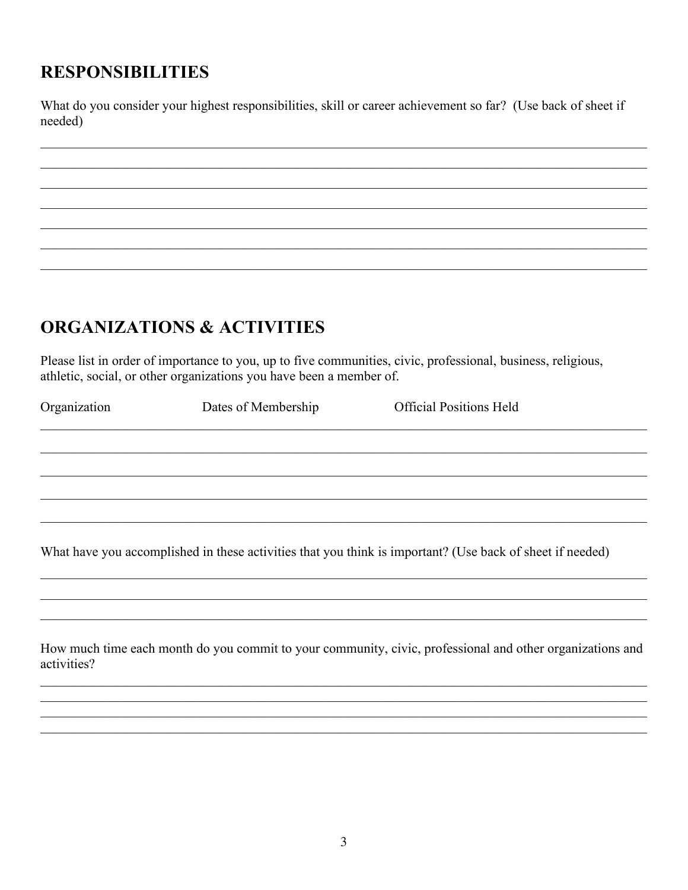### **RESPONSIBILITIES**

What do you consider your highest responsibilities, skill or career achievement so far? (Use back of sheet if needed)

# **ORGANIZATIONS & ACTIVITIES**

Please list in order of importance to you, up to five communities, civic, professional, business, religious, athletic, social, or other organizations you have been a member of.

| Organization | Dates of Membership | <b>Official Positions Held</b>                                                                            |  |
|--------------|---------------------|-----------------------------------------------------------------------------------------------------------|--|
|              |                     |                                                                                                           |  |
|              |                     |                                                                                                           |  |
|              |                     |                                                                                                           |  |
|              |                     |                                                                                                           |  |
|              |                     | What have you accomplished in these activities that you think is important? (Use back of sheet if needed) |  |
|              |                     |                                                                                                           |  |
|              |                     |                                                                                                           |  |
| activities?  |                     | How much time each month do you commit to your community, civic, professional and other organizations and |  |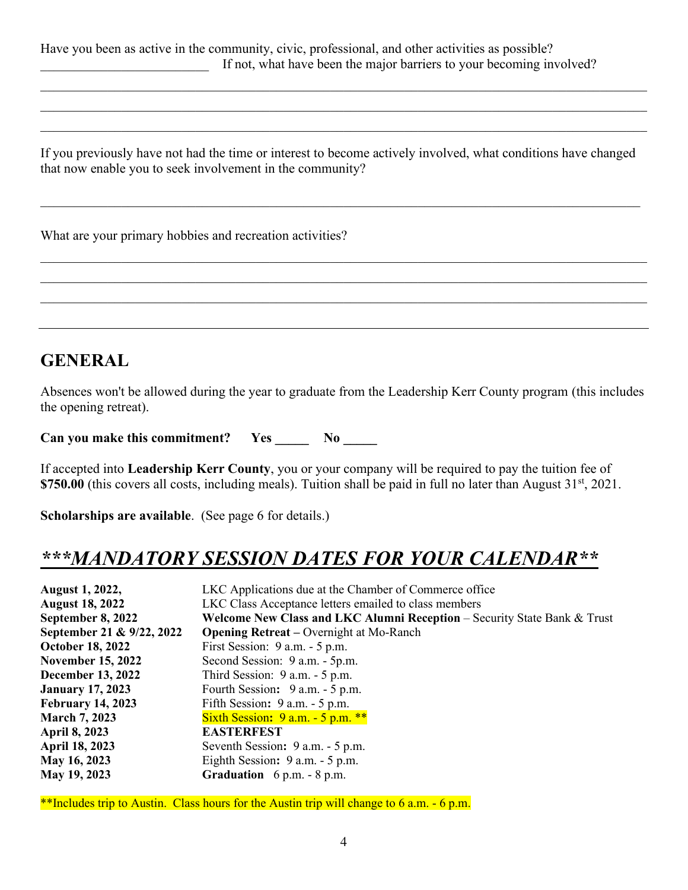Have you been as active in the community, civic, professional, and other activities as possible? If not, what have been the major barriers to your becoming involved?

If you previously have not had the time or interest to become actively involved, what conditions have changed that now enable you to seek involvement in the community?

 $\_$  , and the set of the set of the set of the set of the set of the set of the set of the set of the set of the set of the set of the set of the set of the set of the set of the set of the set of the set of the set of th

 $\mathcal{L}_\mathcal{L} = \mathcal{L}_\mathcal{L} = \mathcal{L}_\mathcal{L} = \mathcal{L}_\mathcal{L} = \mathcal{L}_\mathcal{L} = \mathcal{L}_\mathcal{L} = \mathcal{L}_\mathcal{L} = \mathcal{L}_\mathcal{L} = \mathcal{L}_\mathcal{L} = \mathcal{L}_\mathcal{L} = \mathcal{L}_\mathcal{L} = \mathcal{L}_\mathcal{L} = \mathcal{L}_\mathcal{L} = \mathcal{L}_\mathcal{L} = \mathcal{L}_\mathcal{L} = \mathcal{L}_\mathcal{L} = \mathcal{L}_\mathcal{L}$  $\mathcal{L}_\mathcal{L} = \mathcal{L}_\mathcal{L} = \mathcal{L}_\mathcal{L} = \mathcal{L}_\mathcal{L} = \mathcal{L}_\mathcal{L} = \mathcal{L}_\mathcal{L} = \mathcal{L}_\mathcal{L} = \mathcal{L}_\mathcal{L} = \mathcal{L}_\mathcal{L} = \mathcal{L}_\mathcal{L} = \mathcal{L}_\mathcal{L} = \mathcal{L}_\mathcal{L} = \mathcal{L}_\mathcal{L} = \mathcal{L}_\mathcal{L} = \mathcal{L}_\mathcal{L} = \mathcal{L}_\mathcal{L} = \mathcal{L}_\mathcal{L}$  $\mathcal{L}_\mathcal{L} = \mathcal{L}_\mathcal{L} = \mathcal{L}_\mathcal{L} = \mathcal{L}_\mathcal{L} = \mathcal{L}_\mathcal{L} = \mathcal{L}_\mathcal{L} = \mathcal{L}_\mathcal{L} = \mathcal{L}_\mathcal{L} = \mathcal{L}_\mathcal{L} = \mathcal{L}_\mathcal{L} = \mathcal{L}_\mathcal{L} = \mathcal{L}_\mathcal{L} = \mathcal{L}_\mathcal{L} = \mathcal{L}_\mathcal{L} = \mathcal{L}_\mathcal{L} = \mathcal{L}_\mathcal{L} = \mathcal{L}_\mathcal{L}$ 

| What are your primary hobbies and recreation activities? |  |
|----------------------------------------------------------|--|
|----------------------------------------------------------|--|

### **GENERAL**

Absences won't be allowed during the year to graduate from the Leadership Kerr County program (this includes the opening retreat).

Can you make this commitment? Yes \_\_\_\_\_\_ No \_\_\_\_\_

If accepted into **Leadership Kerr County**, you or your company will be required to pay the tuition fee of **\$750.00** (this covers all costs, including meals). Tuition shall be paid in full no later than August 31<sup>st</sup>, 2021.

**Scholarships are available**. (See page 6 for details.)

### *\*\*\*MANDATORY SESSION DATES FOR YOUR CALENDAR\*\**

| <b>August 1, 2022,</b>    | LKC Applications due at the Chamber of Commerce office                   |  |
|---------------------------|--------------------------------------------------------------------------|--|
| <b>August 18, 2022</b>    | LKC Class Acceptance letters emailed to class members                    |  |
| September 8, 2022         | Welcome New Class and LKC Alumni Reception - Security State Bank & Trust |  |
| September 21 & 9/22, 2022 | <b>Opening Retreat</b> – Overnight at Mo-Ranch                           |  |
| <b>October 18, 2022</b>   | First Session: 9 a.m. - 5 p.m.                                           |  |
| <b>November 15, 2022</b>  | Second Session: 9 a.m. - 5p.m.                                           |  |
| <b>December 13, 2022</b>  | Third Session: $9 a.m. - 5 p.m.$                                         |  |
| <b>January 17, 2023</b>   | Fourth Session: 9 a.m. - 5 p.m.                                          |  |
| <b>February 14, 2023</b>  | Fifth Session: 9 a.m. - 5 p.m.                                           |  |
| <b>March 7, 2023</b>      | Sixth Session: $9$ a.m. $-5$ p.m. **                                     |  |
| <b>April 8, 2023</b>      | <b>EASTERFEST</b>                                                        |  |
| <b>April 18, 2023</b>     | Seventh Session: 9 a.m. - 5 p.m.                                         |  |
| May 16, 2023              | Eighth Session: 9 a.m. - 5 p.m.                                          |  |
| May 19, 2023              | <b>Graduation</b> $6 p.m. - 8 p.m.$                                      |  |

\*\*Includes trip to Austin. Class hours for the Austin trip will change to 6 a.m. - 6 p.m.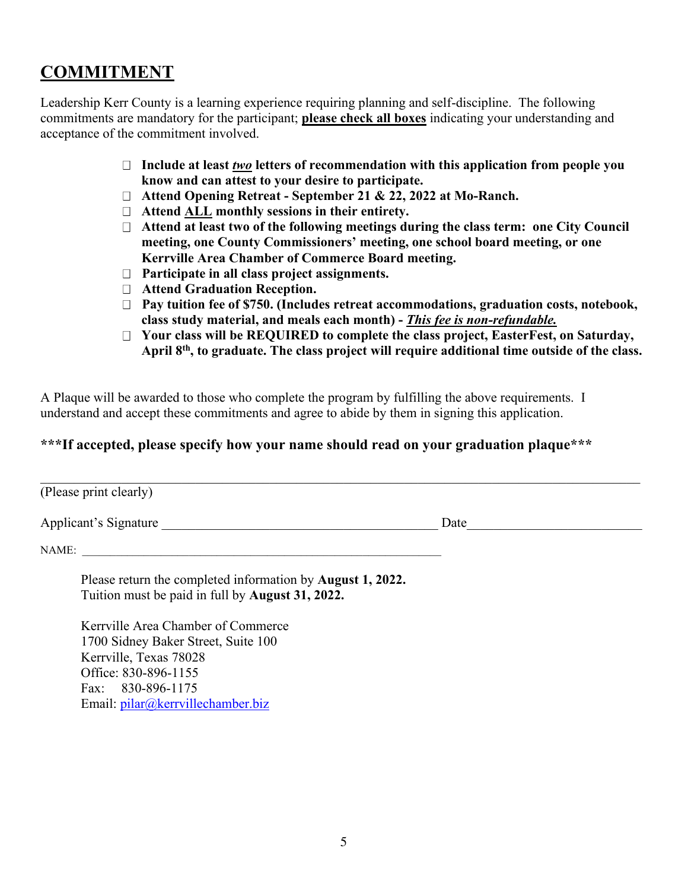### **COMMITMENT**

Leadership Kerr County is a learning experience requiring planning and self-discipline. The following commitments are mandatory for the participant; **please check all boxes** indicating your understanding and acceptance of the commitment involved.

- **Include at least** *two* **letters of recommendation with this application from people you know and can attest to your desire to participate.**
- **Attend Opening Retreat September 21 & 22, 2022 at Mo-Ranch.**
- **Attend ALL monthly sessions in their entirety.**
- **Attend at least two of the following meetings during the class term: one City Council meeting, one County Commissioners' meeting, one school board meeting, or one Kerrville Area Chamber of Commerce Board meeting.**
- **Participate in all class project assignments.**
- **Attend Graduation Reception.**
- **Pay tuition fee of \$750. (Includes retreat accommodations, graduation costs, notebook, class study material, and meals each month) -** *This fee is non-refundable.*
- **Your class will be REQUIRED to complete the class project, EasterFest, on Saturday, April 8th , to graduate. The class project will require additional time outside of the class.**

A Plaque will be awarded to those who complete the program by fulfilling the above requirements. I understand and accept these commitments and agree to abide by them in signing this application.

#### **\*\*\*If accepted, please specify how your name should read on your graduation plaque\*\*\***

| (Please print clearly) |      |
|------------------------|------|
| Applicant's Signature  | Date |

NAME:

Please return the completed information by **August 1, 2022.**  Tuition must be paid in full by **August 31, 2022.**

 Kerrville Area Chamber of Commerce 1700 Sidney Baker Street, Suite 100 Kerrville, Texas 78028 Office: 830-896-1155 Fax: 830-896-1175 Email: [pilar@kerrvillechamber.biz](mailto:pilar@kerrvillechamber.biz)